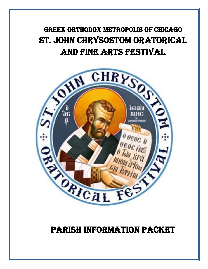

# PARISH information packet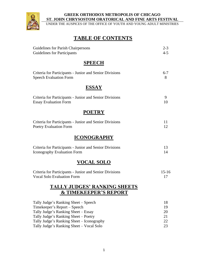

UNDER THE AUSPICES OF THE OFFICE OF YOUTH AND YOUNG ADULT MINISTRIES

# **TABLE OF CONTENTS**

| Guidelines for Parish Chairpersons                                      | $2 - 3$   |
|-------------------------------------------------------------------------|-----------|
| <b>Guidelines for Participants</b>                                      | $4 - 5$   |
| <b>SPEECH</b>                                                           |           |
| Criteria for Participants - Junior and Senior Divisions                 | $6 - 7$   |
| <b>Speech Evaluation Form</b>                                           | 8         |
| <b>ESSAY</b>                                                            |           |
| Criteria for Participants - Junior and Senior Divisions                 | 9         |
| <b>Essay Evaluation Form</b>                                            | 10        |
| <b>POETRY</b>                                                           |           |
| Criteria for Participants - Junior and Senior Divisions                 | 11        |
| <b>Poetry Evaluation Form</b>                                           | 12        |
| <b>ICONOGRAPHY</b>                                                      |           |
| Criteria for Participants - Junior and Senior Divisions                 | 13        |
| Iconography Evaluation Form                                             | 14        |
| <b>VOCAL SOLO</b>                                                       |           |
| Criteria for Participants - Junior and Senior Divisions                 | $15 - 16$ |
| <b>Vocal Solo Evaluation Form</b>                                       | 17        |
| <b>TALLY JUDGES' RANKING SHEETS</b><br><b>&amp; TIMEKEEPER'S REPORT</b> |           |
| Tally Judge's Ranking Sheet – Speech                                    | 18        |
| Timekeeper's Report – Speech                                            | 19        |
| Tally Judge's Ranking Sheet - Essay                                     | 20        |
| Tally Judge's Ranking Sheet - Poetry                                    | 21        |
| Tally Judge's Ranking Sheet – Iconography                               | 22        |
| Tally Judge's Ranking Sheet - Vocal Solo                                | 23        |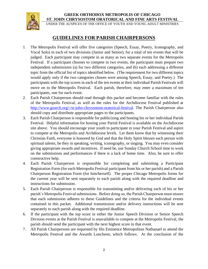

UNDER THE AUSPICES OF THE OFFICE OF YOUTH AND YOUNG ADULT MINISTRIES

# **GUIDELINES FOR PARISH CHAIRPERSONS**

- 1. The Metropolis Festival will offer five categories (Speech, Essay, Poetry, Iconography, and Vocal Solo) in each of two divisions (Junior and Senior), for a total of ten events that will be judged. Each participant may compete in as many as two separate events for the Metropolis Festival. If a participant chooses to compete in two events, the participant must prepare two independent submissions (a) for two different categories, and (b) each addressing a different topic from the official list of topics identified below. (The requirement for two different topics would apply only if the two categories chosen were among Speech, Essay, and Poetry.) The participants with the top scores in each of the ten events at their individual Parish Festivals will move on to the Metropolis Festival. Each parish, therefore, may enter a maximum of ten participants, one for each event.
- 2. Each Parish Chairperson should read through this packet and become familiar with the rules of the Metropolis Festival, as well as the rules for the Archdiocese Festival published at [http://www.goarch.org/-/st-john-chrysostom-oratorical-festival.](http://www.goarch.org/-/st-john-chrysostom-oratorical-festival) The Parish Chairperson also should copy and distribute appropriate pages to the participants.
- 3. Each Parish Chairperson is responsible for publicizing and hosting his or her individual Parish Festival. Helpful information for hosting your Parish Festival is available on the Archdiocese site above. You should encourage your youth to participate in your Parish Festival and aspire to compete at the Metropolis and Archdiocese levels. Let them know that by witnessing their Christian Faith, everyone is honored by God and that the Holy Spirit blesses each person with spiritual talents, be they in speaking, writing, iconography, or singing. You may even consider giving appropriate awards and incentives. If need be, use Sunday Church School time to work on the submissions and performances if there is a lack of home time. Also, be sure to offer constructive help.
- 4. Each Parish Chairperson is responsible for completing and submitting a Participant Registration Form (for each Metropolis Festival participant from his or her parish) and a Parish Chairperson Registration Form (for him/herself). The proper Chicago Metropolis forms for the current year will be sent separately to each parish along with the required deadline and instructions for submission.
- 5. Each Parish Chairperson is responsible for transmitting and/or delivering each of his or her parish's Metropolis Festival submissions. Before doing so, the Parish Chairperson must ensure that each submission adheres to these Guidelines and the criteria for the individual events contained in this packet. Additional transmission and/or delivery instructions will be sent separately to each parish along with the required deadline.
- 6. If the participant with the top score in either the Junior Speech Division or Senior Speech Division events at the Parish Festival is unavailable to compete at the Metropolis Festival, the parish should send the participant with the next highest score in that event.
- 7. All Parish Chairpersons are requested by His Eminence Metropolitan Nathanael to attend the Metropolis Festival and the Awards Luncheon, which follows. At the conclusion of the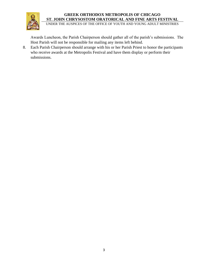

UNDER THE AUSPICES OF THE OFFICE OF YOUTH AND YOUNG ADULT MINISTRIES

Awards Luncheon, the Parish Chairperson should gather all of the parish's submissions. The Host Parish will not be responsible for mailing any items left behind.

8. Each Parish Chairperson should arrange with his or her Parish Priest to honor the participants who receive awards at the Metropolis Festival and have them display or perform their submissions.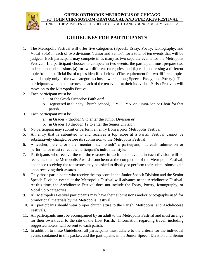

UNDER THE AUSPICES OF THE OFFICE OF YOUTH AND YOUNG ADULT MINISTRIES

# **GUIDELINES FOR PARTICIPANTS**

- 1. The Metropolis Festival will offer five categories (Speech, Essay, Poetry, Iconography, and Vocal Solo) in each of two divisions (Junior and Senior), for a total of ten events that will be judged. Each participant may compete in as many as two separate events for the Metropolis Festival. If a participant chooses to compete in two events, the participant must prepare two independent submissions (a) for two different categories, and (b) each addressing a different topic from the official list of topics identified below. (The requirement for two different topics would apply only if the two categories chosen were among Speech, Essay, and Poetry.) The participants with the top scores in each of the ten events at their individual Parish Festivals will move on to the Metropolis Festival.
- 2. Each participant must be
	- a. of the Greek Orthodox Faith *and*
	- b. registered in Sunday Church School, JOY/GOYA, *or* Junior/Senior Choir for that parish.
- 3. Each participant must be
	- a. in Grades 7 through 9 to enter the Junior Division *or*
	- b. in Grades 10 through 12 to enter the Senior Division.
- 4. No participant may submit or perform an entry from a prior Metropolis Festival.
- 5. An entry that is submitted to and receives a top score at a Parish Festival cannot be substantively changed before its submission to the Metropolis Festival.
- 6. A teacher, parent, or other mentor may "coach" a participant, but each submission or performance must reflect the participant's individual style.
- 7. Participants who receive the top three scores in each of the events in each division will be recognized at the Metropolis Awards Luncheon at the completion of the Metropolis Festival, and those receiving the top scores may be asked to display or perform their submissions again upon receiving their awards.
- 8. Only those participants who receive the top score in the Junior Speech Division and the Senior Speech Division events at the Metropolis Festival will advance to the Archdiocese Festival. At this time, the Archdiocese Festival does not include the Essay, Poetry, Iconography, or Vocal Solo categories.
- 9. All Metropolis Festival participants may have their submissions and/or photographs used for promotional materials by the Metropolis Festival.
- 10. All participants should wear proper church attire to the Parish, Metropolis, and Archdiocese Festivals.
- 11. All participants must be accompanied by an adult to the Metropolis Festival and must arrange for their own travel to the site of the Host Parish. Information regarding travel, including suggested hotels, will be sent to each parish.
- 12. In addition to these Guidelines, all participants must adhere to the criteria for the individual events contained in this packet, and the participants in the Junior Speech Division and Senior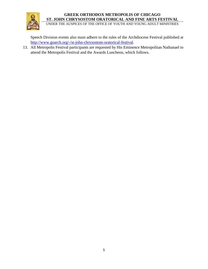

UNDER THE AUSPICES OF THE OFFICE OF YOUTH AND YOUNG ADULT MINISTRIES

Speech Division events also must adhere to the rules of the Archdiocese Festival published at [http://www.goarch.org/-/st-john-chrysostom-oratorical-festival.](http://www.goarch.org/-/st-john-chrysostom-oratorical-festival)

13. All Metropolis Festival participants are requested by His Eminence Metropolitan Nathanael to attend the Metropolis Festival and the Awards Luncheon, which follows.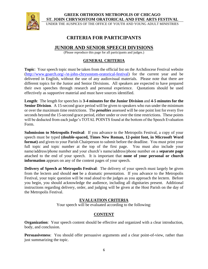

UNDER THE AUSPICES OF THE OFFICE OF YOUTH AND YOUNG ADULT MINISTRIES

# **CRITERIA FOR PARTICIPANTS**

# **JUNIOR AND SENIOR SPEECH DIVISIONS**

(Please reproduce this page for all participants and judges.)

### **GENERAL CRITERIA**

**Topic**: Your speech topic must be taken from the official list on the Archdiocese Festival website [\(http://www.goarch.org/-/st-john-chrysostom-oratorical-festival\)](http://www.goarch.org/-/st-john-chrysostom-oratorical-festival) for the current year and be delivered in English, without the use of any audiovisual materials. Please note that there are different topics for the Junior and Senior Divisions. All speakers are expected to have prepared their own speeches through research and personal experience. Quotations should be used effectively as supportive material and must have sources identified.

**Length**: The length for speeches is **3-4 minutes for the Junior Division** and **4-5 minutes for the Senior Division**. A 15-second grace period will be given to speakers who run under the minimum or over the maximum time restrictions. The *penalties* assessed will be one point lost for every five seconds beyond the 15-second grace period, either under or over the time restrictions. These points will be deducted from each judge's TOTAL POINTS found at the bottom of the Speech Evaluation Form.

**Submission to Metropolis Festival**: If you advance to the Metropolis Festival, a copy of your speech must be typed **(double-spaced, Times New Roman, 12-point font, in Microsoft Word format)** and given to your Parish Chairperson to submit before the deadline. You must print your full topic and topic number at the top of the first page. You must also include your name/address/phone number and your church's name/address/phone number on a **separate page** attached to the end of your speech. It is important that **none of your personal or church information** appears on any of the content pages of your speech.

**Delivery of Speech at Metropolis Festival**: The delivery of your speech must largely be given from the lectern and should *not* be a dramatic presentation. If you advance to the Metropolis Festival, your topic question will be read aloud to the judges as you approach the lectern. Before you begin, you should acknowledge the audience, including all dignitaries present. Additional instructions regarding delivery, order, and judging will be given at the Host Parish on the day of the Metropolis Festival.

### **EVALUATION CRITERIA**

Your speech will be evaluated according to the following:

# **CONTENT**

**Organization**: Your speech content should be effective and organized with a clear introduction, body, and conclusion.

**Persuasiveness**: You should offer persuasive arguments and a clear point-of-view, rather than just summarizing the topic.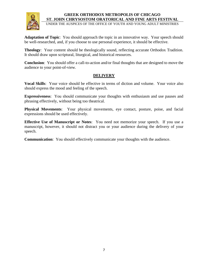

UNDER THE AUSPICES OF THE OFFICE OF YOUTH AND YOUNG ADULT MINISTRIES

**Adaptation of Topic**: You should approach the topic in an innovative way. Your speech should be well-researched, and, if you choose to use personal experience, it should be effective.

**Theology**: Your content should be theologically sound, reflecting accurate Orthodox Tradition. It should draw upon scriptural, liturgical, and historical resources.

**Conclusion**: You should offer a call-to-action and/or final thoughts that are designed to move the audience to your point-of-view.

### **DELIVERY**

**Vocal Skills**: Your voice should be effective in terms of diction and volume. Your voice also should express the mood and feeling of the speech.

**Expressiveness**: You should communicate your thoughts with enthusiasm and use pauses and phrasing effectively, without being too theatrical.

**Physical Movements**: Your physical movements, eye contact, posture, poise, and facial expressions should be used effectively.

**Effective Use of Manuscript or Notes**: You need not memorize your speech. If you use a manuscript, however, it should not distract you or your audience during the delivery of your speech.

**Communication**: You should effectively communicate your thoughts with the audience.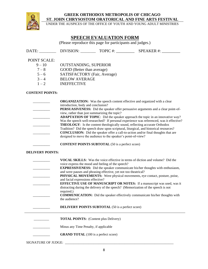

UNDER THE AUSPICES OF THE OFFICE OF YOUTH AND YOUNG ADULT MINISTRIES

# **SPEECH EVALUATION FORM**

(Please reproduce this page for participants and judges.)

DATE: \_\_\_\_\_\_\_\_\_\_\_\_ DIVISION: \_\_\_\_\_\_\_\_\_\_\_ TOPIC #: \_\_\_\_\_\_\_\_\_\_\_\_\_ SPEAKER #: \_\_\_\_\_\_\_\_\_\_

#### POINT SCALE:

| $9 - 10$ | <b>OUTSTANDING, SUPERIOR</b> |
|----------|------------------------------|
| $7 - 8$  | GOOD (Better than average)   |
| $5 - 6$  | SATISFACTORY (Fair, Average) |
| $3 - 4$  | <b>BELOW AVERAGE</b>         |
| . .      | . <del>.</del> .             |

 $1 - 2$  INEFFECTIVE

#### **CONTENT POINTS:**

| <b>ORGANIZATION:</b> Was the speech content effective and organized with a clear         |
|------------------------------------------------------------------------------------------|
| introduction, body and conclusion?                                                       |
| <b>PERSUASIVENESS:</b> Did the speaker offer persuasive arguments and a clear point-of-  |
| view, rather than just summarizing the topic?                                            |
| <b>ADAPTATION OF TOPIC:</b> Did the speaker approach the topic in an innovative way?     |
| Was the speech well-researched? If personal experience was referenced, was it effective? |
| <b>THEOLOGY:</b> Is the content theologically sound, reflecting accurate Orthodox        |
| Tradition? Did the speech draw upon scriptural, liturgical, and historical resources?    |
| <b>CONCLUSION:</b> Did the speaker offer a call-to-action and/or final thoughts that are |
| designed to move the audience to the speaker's point-of-view?                            |
|                                                                                          |

**CONTENT POINTS SUBTOTAL** (50 is a perfect score)

#### **DELIVERY POINTS:**

| <b>VOCAL SKILLS:</b> Was the voice effective in terms of diction and volume? Did the<br>voice express the mood and feeling of the speech?<br><b>EXPRESSIVENESS:</b> Did the speaker communicate his/her thoughts with enthusiasm,<br>and were pauses and phrasing effective, yet not too theatrical?<br><b>PHYSICAL MOVEMENTS:</b> Were physical movements, eye contact, posture, poise,<br>and facial expressions effective?<br><b>EFFECTIVE USE OF MANUSCRIPT OR NOTES:</b> If a manuscript was used, was it<br>distracting during the delivery of the speech? (Memorization of the speech is not<br>required.)<br><b>COMMUNICATION:</b> Did the speaker effectively communicate his/her thoughts with |
|----------------------------------------------------------------------------------------------------------------------------------------------------------------------------------------------------------------------------------------------------------------------------------------------------------------------------------------------------------------------------------------------------------------------------------------------------------------------------------------------------------------------------------------------------------------------------------------------------------------------------------------------------------------------------------------------------------|
| the audience?<br><b>DELIVERY POINTS SUBTOTAL</b> (50 is a perfect score)                                                                                                                                                                                                                                                                                                                                                                                                                                                                                                                                                                                                                                 |
| <b>TOTAL POINTS:</b> (Content plus Delivery)                                                                                                                                                                                                                                                                                                                                                                                                                                                                                                                                                                                                                                                             |
|                                                                                                                                                                                                                                                                                                                                                                                                                                                                                                                                                                                                                                                                                                          |
| Minus any Time Penalty, if applicable                                                                                                                                                                                                                                                                                                                                                                                                                                                                                                                                                                                                                                                                    |
| <b>GRAND TOTAL</b> (100 is a perfect score)                                                                                                                                                                                                                                                                                                                                                                                                                                                                                                                                                                                                                                                              |
|                                                                                                                                                                                                                                                                                                                                                                                                                                                                                                                                                                                                                                                                                                          |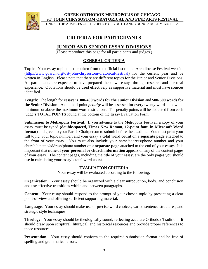

UNDER THE AUSPICES OF THE OFFICE OF YOUTH AND YOUNG ADULT MINISTRIES

# **CRITERIA FOR PARTICIPANTS**

# **JUNIOR AND SENIOR ESSAY DIVISIONS**

(Please reproduce this page for all participants and judges.)

### **GENERAL CRITERIA**

**Topic**: Your essay topic must be taken from the official list on the Archdiocese Festival website [\(http://www.goarch.org/-/st-john-chrysostom-oratorical-festival\)](http://www.goarch.org/-/st-john-chrysostom-oratorical-festival) for the current year and be written in English. Please note that there are different topics for the Junior and Senior Divisions. All participants are expected to have prepared their own essays through research and personal experience. Quotations should be used effectively as supportive material and must have sources identified.

**Length**: The length for essays is **300-400 words for the Junior Division** and **500-600 words for the Senior Division**. A one-half point *penalty* will be assessed for every twenty words below the minimum or above the maximum word restrictions. The penalty points will be deducted from each judge's TOTAL POINTS found at the bottom of the Essay Evaluation Form.

**Submission to Metropolis Festival**: If you advance to the Metropolis Festival, a copy of your essay must be typed **(double-spaced, Times New Roman, 12-point font, in Microsoft Word format)** and given to your Parish Chairperson to submit before the deadline. You must print your full topic, your topic number, and your essay's **total word count** on a **separate page** attached to the front of your essay. You must also include your name/address/phone number and your church's name/address/phone number on a **separate page** attached to the end of your essay. It is important that **none of your personal or church information** appears on any of the content pages of your essay. The content pages, including the title of your essay, are the only pages you should use in calculating your essay's total word count.

### **EVALUATION CRITERIA**

Your essay will be evaluated according to the following:

**Organization**: Your essay should be organized with a clear introduction, body, and conclusion and use effective transitions within and between paragraphs.

**Content**: Your essay should respond to the prompt of your chosen topic by presenting a clear point-of-view and offering sufficient supporting material.

**Language**: Your essay should make use of precise word choices, varied sentence structures, and strategic style techniques.

**Theology**: Your essay should be theologically sound, reflecting accurate Orthodox Tradition. It should draw upon scriptural, liturgical, and historical resources and provide proper references to those resources.

**Presentation**: Your essay should conform to the required submission format and be free of spelling and grammatical errors.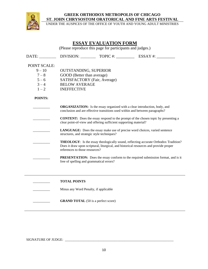

UNDER THE AUSPICES OF THE OFFICE OF YOUTH AND YOUNG ADULT MINISTRIES

# **ESSAY EVALUATION FORM**

(Please reproduce this page for participants and judges.)

|                     |                                             |                                                                                                                                                              | DATE: DIVISION: TOPIC #: ESSAY #:                                                                                                                                                   |  |  |  |  |  |  |
|---------------------|---------------------------------------------|--------------------------------------------------------------------------------------------------------------------------------------------------------------|-------------------------------------------------------------------------------------------------------------------------------------------------------------------------------------|--|--|--|--|--|--|
| <b>POINT SCALE:</b> |                                             |                                                                                                                                                              |                                                                                                                                                                                     |  |  |  |  |  |  |
| $9 - 10$            | <b>OUTSTANDING, SUPERIOR</b>                |                                                                                                                                                              |                                                                                                                                                                                     |  |  |  |  |  |  |
| $7 - 8$             | GOOD (Better than average)                  |                                                                                                                                                              |                                                                                                                                                                                     |  |  |  |  |  |  |
| $5 - 6$             | SATISFACTORY (Fair, Average)                |                                                                                                                                                              |                                                                                                                                                                                     |  |  |  |  |  |  |
| $3 - 4$             | <b>BELOW AVERAGE</b>                        |                                                                                                                                                              |                                                                                                                                                                                     |  |  |  |  |  |  |
| $1 - 2$             | <b>INEFFECTIVE</b>                          |                                                                                                                                                              |                                                                                                                                                                                     |  |  |  |  |  |  |
| POINTS:             |                                             |                                                                                                                                                              |                                                                                                                                                                                     |  |  |  |  |  |  |
|                     |                                             |                                                                                                                                                              | <b>ORGANIZATION:</b> Is the essay organized with a clear introduction, body, and<br>conclusion and are effective transitions used within and between paragraphs?                    |  |  |  |  |  |  |
|                     |                                             | <b>CONTENT:</b> Does the essay respond to the prompt of the chosen topic by presenting a<br>clear point-of-view and offering sufficient supporting material? |                                                                                                                                                                                     |  |  |  |  |  |  |
|                     | structures, and strategic style techniques? |                                                                                                                                                              | LANGUAGE: Does the essay make use of precise word choices, varied sentence                                                                                                          |  |  |  |  |  |  |
|                     | references to those resources?              |                                                                                                                                                              | <b>THEOLOGY:</b> Is the essay theologically sound, reflecting accurate Orthodox Tradition?<br>Does it draw upon scriptural, liturgical, and historical resources and provide proper |  |  |  |  |  |  |
|                     | free of spelling and grammatical errors?    |                                                                                                                                                              | <b>PRESENTATION:</b> Does the essay conform to the required submission format, and is it                                                                                            |  |  |  |  |  |  |
|                     |                                             |                                                                                                                                                              |                                                                                                                                                                                     |  |  |  |  |  |  |
|                     | <b>TOTAL POINTS</b>                         |                                                                                                                                                              |                                                                                                                                                                                     |  |  |  |  |  |  |
|                     | Minus any Word Penalty, if applicable       |                                                                                                                                                              |                                                                                                                                                                                     |  |  |  |  |  |  |
|                     | <b>GRAND TOTAL</b> (50 is a perfect score)  |                                                                                                                                                              |                                                                                                                                                                                     |  |  |  |  |  |  |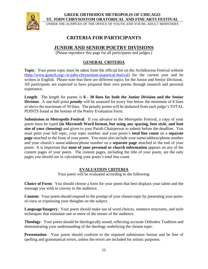

UNDER THE AUSPICES OF THE OFFICE OF YOUTH AND YOUNG ADULT MINISTRIES

# **CRITERIA FOR PARTICIPANTS**

# **JUNIOR AND SENIOR POETRY DIVISIONS**

(Please reproduce this page for all participants and judges.)

# **GENERAL CRITERIA**

**Topic**: Your poem topic must be taken from the official list on the Archdiocese Festival website [\(http://www.goarch.org/-/st-john-chrysostom-oratorical-festival\)](http://www.goarch.org/-/st-john-chrysostom-oratorical-festival) for the current year and be written in English. Please note that there are different topics for the Junior and Senior Divisions. All participants are expected to have prepared their own poems through research and personal experience.

**Length**: The length for poems is **8 - 30 lines for both the Junior Division and the Senior Division.** A one-half point *penalty* will be assessed for every line below the minimum of 8 lines or above the maximum of 30 lines. The penalty points will be deducted from each judge's TOTAL POINTS found at the bottom of the Poetry Evaluation Form.

**Submission to Metropolis Festival**: If you advance to the Metropolis Festival, a copy of your poem must be typed **(in Microsoft Word format, but using any spacing, font style, and font size of your choosing)** and given to your Parish Chairperson to submit before the deadline. You must print your full topic, your topic number, and your poem's **total line count** on a **separate page** attached to the front of your poem. You must also include your name/address/phone number and your church's name/address/phone number on a **separate page** attached to the end of your poem. It is important that **none of your personal or church information** appears on any of the content pages of your poem. The content pages, including the title of your poem, are the only pages you should use in calculating your poem's total line count.

### **EVALUATION CRITERIA**

Your poem will be evaluated according to the following:

**Choice of Form**: You should choose a form for your poem that best displays your talent and the message you wish to convey to the audience.

**Content**: Your poem should respond to the prompt of your chosen topic by presenting your pointof-view or expressing your thoughts on the subject.

**Language/Imagery**: Your poem should make use of word choices, sentence structures, and style techniques that stimulate one or more of the senses of the audience.

**Theology**: Your poem should be theologically sound, reflecting accurate Orthodox Tradition and demonstrating your understanding of the theology underlying the chosen topic.

**Presentation**: Your poem should conform to the required submission format and be free of spelling and grammatical errors, unless the errors are included for artistic purposes.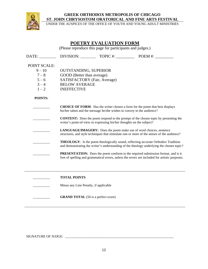

UNDER THE AUSPICES OF THE OFFICE OF YOUTH AND YOUNG ADULT MINISTRIES

# **POETRY EVALUATION FORM**

(Please reproduce this page for participants and judges.)

| DATE:        |                                            |                                                                                                                                                                    | DIVISION: TOPIC #: $\qquad \qquad$ POEM #:                                                                                                                                                |  |  |  |  |  |  |
|--------------|--------------------------------------------|--------------------------------------------------------------------------------------------------------------------------------------------------------------------|-------------------------------------------------------------------------------------------------------------------------------------------------------------------------------------------|--|--|--|--|--|--|
| POINT SCALE: |                                            |                                                                                                                                                                    |                                                                                                                                                                                           |  |  |  |  |  |  |
| $9 - 10$     | <b>OUTSTANDING, SUPERIOR</b>               |                                                                                                                                                                    |                                                                                                                                                                                           |  |  |  |  |  |  |
| $7 - 8$      | GOOD (Better than average)                 |                                                                                                                                                                    |                                                                                                                                                                                           |  |  |  |  |  |  |
| $5 - 6$      | SATISFACTORY (Fair, Average)               |                                                                                                                                                                    |                                                                                                                                                                                           |  |  |  |  |  |  |
| $3 - 4$      | <b>BELOW AVERAGE</b>                       |                                                                                                                                                                    |                                                                                                                                                                                           |  |  |  |  |  |  |
| $1 - 2$      | <b>INEFFECTIVE</b>                         |                                                                                                                                                                    |                                                                                                                                                                                           |  |  |  |  |  |  |
| POINTS:      |                                            |                                                                                                                                                                    |                                                                                                                                                                                           |  |  |  |  |  |  |
|              |                                            | his/her talent and the message he/she wishes to convey to the audience?                                                                                            | <b>CHOICE OF FORM:</b> Has the writer chosen a form for the poem that best displays                                                                                                       |  |  |  |  |  |  |
|              |                                            | <b>CONTENT:</b> Does the poem respond to the prompt of the chosen topic by presenting the<br>writer's point-of-view or expressing his/her thoughts on the subject? |                                                                                                                                                                                           |  |  |  |  |  |  |
|              |                                            | LANGUAGE/IMAGERY: Does the poem make use of word choices, sentence<br>structures, and style techniques that stimulate one or more of the senses of the audience?   |                                                                                                                                                                                           |  |  |  |  |  |  |
|              |                                            |                                                                                                                                                                    | <b>THEOLOGY:</b> Is the poem theologically sound, reflecting accurate Orthodox Tradition<br>and demonstrating the writer's understanding of the theology underlying the chosen topic?     |  |  |  |  |  |  |
|              |                                            |                                                                                                                                                                    | <b>PRESENTATION:</b> Does the poem conform to the required submission format, and is it<br>free of spelling and grammatical errors, unless the errors are included for artistic purposes. |  |  |  |  |  |  |
|              |                                            |                                                                                                                                                                    |                                                                                                                                                                                           |  |  |  |  |  |  |
|              | <b>TOTAL POINTS</b>                        |                                                                                                                                                                    |                                                                                                                                                                                           |  |  |  |  |  |  |
|              | Minus any Line Penalty, if applicable      |                                                                                                                                                                    |                                                                                                                                                                                           |  |  |  |  |  |  |
|              | <b>GRAND TOTAL</b> (50 is a perfect score) |                                                                                                                                                                    |                                                                                                                                                                                           |  |  |  |  |  |  |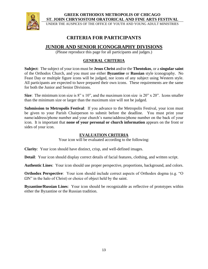

UNDER THE AUSPICES OF THE OFFICE OF YOUTH AND YOUNG ADULT MINISTRIES

# **CRITERIA FOR PARTICIPANTS**

# **JUNIOR AND SENIOR ICONOGRAPHY DIVISIONS**

(Please reproduce this page for all participants and judges.)

### **GENERAL CRITERIA**

**Subject**: The subject of your icon must be **Jesus Christ** and/or the **Theotokos**, or a **singular saint** of the Orthodox Church, and you must use either **Byzantine** or **Russian** style iconography. No Feast Day or multiple figure icons will be judged, nor icons of any subject using Western style. All participants are expected to have prepared their own icons. These requirements are the same for both the Junior and Senior Divisions.

**Size**: The minimum icon size is 8" x 10", and the maximum icon size is 20" x 20". Icons smaller than the minimum size or larger than the maximum size will not be judged.

**Submission to Metropolis Festival**: If you advance to the Metropolis Festival, your icon must be given to your Parish Chairperson to submit before the deadline. You must print your name/address/phone number and your church's name/address/phone number on the back of your icon. It is important that **none of your personal or church information** appears on the front or sides of your icon.

### **EVALUATION CRITERIA**

Your icon will be evaluated according to the following:

**Clarity**: Your icon should have distinct, crisp, and well-defined images.

**Detail**: Your icon should display correct details of facial features, clothing, and written script.

**Authentic Lines**: Your icon should use proper perspective, proportions, background, and colors.

**Orthodox Perspective**: Your icon should include correct aspects of Orthodox dogma (e.g. "O  $\Omega$ N" in the halo of Christ) or choice of object held by the saint.

**Byzantine/Russian Lines**: Your icon should be recognizable as reflective of prototypes within either the Byzantine or the Russian tradition.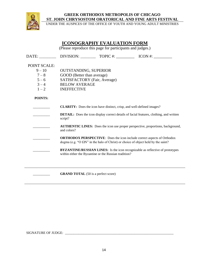

UNDER THE AUSPICES OF THE OFFICE OF YOUTH AND YOUNG ADULT MINISTRIES

# **ICONOGRAPHY EVALUATION FORM**

(Please reproduce this page for participants and judges.)

DATE: DIVISION: TOPIC #:  $\blacksquare$  ICON #:

#### POINT SCALE:

- 9 10 OUTSTANDING, SUPERIOR
- $7 8$  GOOD (Better than average)
- 5 6 SATISFACTORY (Fair, Average)
- $3 4$  BELOW AVERAGE
- $1 2$  INEFFECTIVE

#### **POINTS:**

- \_\_\_\_\_\_\_\_\_\_ **CLARITY:** Does the icon have distinct, crisp, and well-defined images? **DETAIL:** Does the icon display correct details of facial features, clothing, and written script?
	- \_\_\_\_\_\_\_\_\_\_ **AUTHENTIC LINES:** Does the icon use proper perspective, proportions, background, and colors?
	- \_\_\_\_\_\_\_\_\_\_ **ORTHODOX PERSPECTIVE**: Does the icon include correct aspects of Orthodox dogma (e.g. "O  $\Omega$ N" in the halo of Christ) or choice of object held by the saint?
	- **BYZANTINE/RUSSIAN LINES:** Is the icon recognizable as reflective of prototypes within either the Byzantine or the Russian tradition?

**GRAND TOTAL** (50 is a perfect score)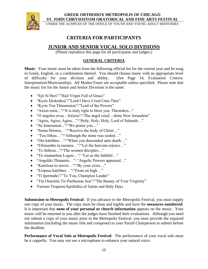

UNDER THE AUSPICES OF THE OFFICE OF YOUTH AND YOUNG ADULT MINISTRIES

# **CRITERIA FOR PARTICIPANTS**

# **JUNIOR AND SENIOR VOCAL SOLO DIVISIONS**

(Please reproduce this page for all participants and judges.)

### **GENERAL CRITERIA**

**Music**: Your music must be taken from the following official list for the current year and be sung in Greek, English, or a combination thereof. You should choose music with an appropriate level of difficulty for your division and ability. (See Page 14, Evaluation Criteria: Interpretation/Musicianship). All Modes/Tones are acceptable unless specified. Please note that the music list for the Junior and Senior Divisions is the same:

- "Epi Si Heri"/"Hail Virgin Full of Grace"
- "Kyrie Ekekraksa"/"Lord I Have Cried Unto Thee"
- "Kyrie Ton Thinamaion"/"Lord of the Powers"
- "Axion estin..."/"It is truly right to bless you, Theotokos..."
- "O angelos evoa...fotizou"/"The angel cried...shine New Jerusalem"
- "Agios, Agios, Agios…"/"Holy, Holy, Holy, Lord of Sabaoth…"
- "Se Imnoumen..."/"We praise you…"
- "Soma Hristou..."/"Receive the body of Christ..."
- "Tou lithou..."/"Although the stone was sealed..."
- "Ote katilthes..."/"When you descended unto death..."
- "Efrenestho ta ourania…"/"Let the heavens rejoice…"
- "To fethron..."/"The women disciples..."
- "To sinanarhon Logon…"/ "Let us the faithful…"
- "Angeliki Thinamis…"/ "Angelic Powers appeared…"
- "Katelisas to stavro..."/"By your cross..."
- "Exipsus katilthes…"/"From on high…"
- "Ti Ipermaho"/"To You, Champion Leader"
- "Tin Oraiotita Tis Parthenias Sou"/"The Beauty of Your Virginity"
- Various Troparia/Apolitikia of Saints and Holy Days

**Submission to Metropolis Festival**: If you advance to the Metropolis Festival, you must supply one copy of your music. The copy must be clean and legible and have the **measures numbered**. It is important that **none of your personal or church information** appears on the music. Your music will be returned to you after the judges have finished their evaluations. Although you need not submit a copy of your music prior to the Metropolis Festival, you must provide the required information (including the music title and composer) to your Parish Chairperson to submit before the deadline.

**Performance of Vocal Solo at Metropolis Festival**: The performance of your vocal solo must be *a cappella*. You may not use a microphone to enhance your natural voice.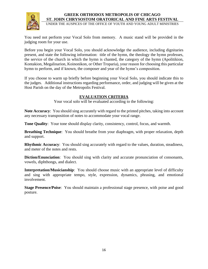

UNDER THE AUSPICES OF THE OFFICE OF YOUTH AND YOUNG ADULT MINISTRIES

You need not perform your Vocal Solo from memory. A music stand will be provided in the judging room for your use.

Before you begin your Vocal Solo, you should acknowledge the audience, including dignitaries present, and state the following information: title of the hymn, the theology the hymn professes, the service of the church in which the hymn is chanted, the category of the hymn (Apolitikion, Kontakion, Megalinarion, Koinonikon, or Other Troparia), your reason for choosing this particular hymn to perform, and if known, the composer and year of the hymn's composition.

If you choose to warm up briefly before beginning your Vocal Solo, you should indicate this to the judges. Additional instructions regarding performance, order, and judging will be given at the Host Parish on the day of the Metropolis Festival.

### **EVALUATION CRITERIA**

Your vocal solo will be evaluated according to the following:

**Note Accuracy**: You should sing accurately with regard to the printed pitches, taking into account any necessary transposition of notes to accommodate your vocal range.

**Tone Quality**: Your tone should display clarity, consistency, control, focus, and warmth.

**Breathing Technique**: You should breathe from your diaphragm, with proper relaxation, depth and support.

**Rhythmic Accuracy**: You should sing accurately with regard to the values, duration, steadiness, and meter of the notes and rests.

**Diction/Enunciation**: You should sing with clarity and accurate pronunciation of consonants, vowels, diphthongs, and dialect.

**Interpretation/Musicianship**: You should choose music with an appropriate level of difficulty and sing with appropriate tempo, style, expression, dynamics, phrasing, and emotional involvement.

**Stage Presence/Poise**: You should maintain a professional stage presence, with poise and good posture.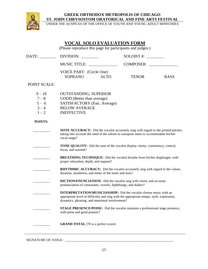

UNDER THE AUSPICES OF THE OFFICE OF YOUTH AND YOUNG ADULT MINISTRIES

# **VOCAL SOLO EVALUATION FORM**

(Please reproduce this page for participants and judges.)

| DATE:                                                | DIVISION:                                                                                                                                                                                                              |             | $SOLOIST$ #: $\_\_$ |             |  |  |  |
|------------------------------------------------------|------------------------------------------------------------------------------------------------------------------------------------------------------------------------------------------------------------------------|-------------|---------------------|-------------|--|--|--|
|                                                      | <b>MUSIC TITLE:</b>                                                                                                                                                                                                    |             | COMPOSER:           |             |  |  |  |
|                                                      | VOICE PART: (Circle One)<br>SOPRANO                                                                                                                                                                                    | <b>ALTO</b> | <b>TENOR</b>        | <b>BASS</b> |  |  |  |
| <b>POINT SCALE:</b>                                  |                                                                                                                                                                                                                        |             |                     |             |  |  |  |
| $9 - 10$<br>$7 - 8$<br>$5 - 6$<br>$3 - 4$<br>$1 - 2$ | <b>OUTSTANDING, SUPERIOR</b><br>GOOD (Better than average)<br>SATISFACTORY (Fair, Average)<br><b>BELOW AVERAGE</b><br><b>INEFFECTIVE</b>                                                                               |             |                     |             |  |  |  |
| <b>POINTS:</b>                                       |                                                                                                                                                                                                                        |             |                     |             |  |  |  |
|                                                      | <b>NOTE ACCURACY:</b> Did the vocalist accurately sing with regard to the printed pitches,<br>taking into account the need of the soloist to transpose notes to accommodate his/her<br>vocal range?                    |             |                     |             |  |  |  |
|                                                      | <b>TONE QUALITY:</b> Did the tone of the vocalist display clarity, consistency, control,<br>focus, and warmth?                                                                                                         |             |                     |             |  |  |  |
|                                                      | <b>BREATHING TECHNIQUE:</b> Did the vocalist breathe from his/her diaphragm, with<br>proper relaxation, depth, and support?                                                                                            |             |                     |             |  |  |  |
|                                                      | RHYTHMIC ACCURACY: Did the vocalist accurately sing with regard to the values,<br>duration, steadiness, and meter of the notes and rests?                                                                              |             |                     |             |  |  |  |
|                                                      | <b>DICTION/ENUNCIATION:</b> Did the vocalist sing with clarity and accurate<br>pronunciation of consonants, vowels, diphthongs, and dialect?                                                                           |             |                     |             |  |  |  |
|                                                      | <b>INTERPRETATION/MUSICIANSHIP:</b> Did the vocalist choose music with an<br>appropriate level of difficulty and sing with the appropriate tempo, style, expression,<br>dynamics, phrasing, and emotional involvement? |             |                     |             |  |  |  |
|                                                      | <b>STAGE PRESENCE/POISE:</b> Did the vocalist maintain a professional stage presence,<br>with poise and good posture?                                                                                                  |             |                     |             |  |  |  |
|                                                      | <b>GRAND TOTAL</b> (70 is a perfect score)                                                                                                                                                                             |             |                     |             |  |  |  |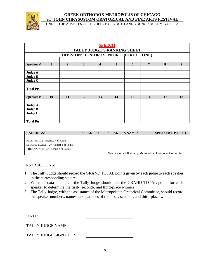

UNDER THE AUSPICES OF THE OFFICE OF YOUTH AND YOUNG ADULT MINISTRIES

|                  | <b>SPEECH</b><br>TALLY JUDGE'S RANKING SHEET |                |    |                         |                |    |           |    |                  |
|------------------|----------------------------------------------|----------------|----|-------------------------|----------------|----|-----------|----|------------------|
|                  | DIVISION: JUNIOR / SENIOR (CIRCLE ONE)       |                |    |                         |                |    |           |    |                  |
|                  |                                              |                |    |                         |                |    |           |    |                  |
| Speaker#         | $\mathbf{1}$                                 | $\overline{2}$ | 3  | $\overline{\mathbf{4}}$ | 5 <sup>5</sup> | 6  | 7         | 8  | $\boldsymbol{9}$ |
|                  |                                              |                |    |                         |                |    |           |    |                  |
| Judge A          |                                              |                |    |                         |                |    |           |    |                  |
| <b>Judge B</b>   |                                              |                |    |                         |                |    |           |    |                  |
| Judge C          |                                              |                |    |                         |                |    |           |    |                  |
|                  |                                              |                |    |                         |                |    |           |    |                  |
| <b>Total Pts</b> |                                              |                |    |                         |                |    |           |    |                  |
|                  |                                              |                |    |                         |                |    |           |    |                  |
| Speaker#         | <b>10</b>                                    | 11             | 12 | 13                      | 14             | 15 | <b>16</b> | 17 | 18               |
|                  |                                              |                |    |                         |                |    |           |    |                  |
| Judge A          |                                              |                |    |                         |                |    |           |    |                  |
| <b>Judge B</b>   |                                              |                |    |                         |                |    |           |    |                  |
| Judge C          |                                              |                |    |                         |                |    |           |    |                  |
|                  |                                              |                |    |                         |                |    |           |    |                  |
| <b>Total Pts</b> |                                              |                |    |                         |                |    |           |    |                  |

| RANKINGS:                                | <b>SPEAKER#</b> | SPEAKER'S NAME*                                             | <b>SPEAKER'S PARISH</b> |  |
|------------------------------------------|-----------------|-------------------------------------------------------------|-------------------------|--|
|                                          |                 |                                                             |                         |  |
| FIRST PLACE - Highest # of Points        |                 |                                                             |                         |  |
| SECOND PLACE - $2nd$ Highest # of Points |                 |                                                             |                         |  |
| THIRD PLACE - $3rd$ Highest # of Points  |                 |                                                             |                         |  |
|                                          |                 | *Names to be filled in by Metropolitan Oratorical Committee |                         |  |

#### INSTRUCTIONS:

- 1. The Tally Judge should record the GRAND TOTAL points given by each judge to each speaker in the corresponding square.
- 2. When all data is entered, the Tally Judge should add the GRAND TOTAL points for each speaker to determine the first-, second-, and third-place winners.
- 3. The Tally Judge, with the assistance of the Metropolitan Oratorical Committee, should record the speaker numbers, names, and parishes of the first-, second-, and third-place winners.

DATE:

TALLY JUDGE NAME:

| <b>TALLY JUDGE SIGNATURE:</b> |  |
|-------------------------------|--|
|-------------------------------|--|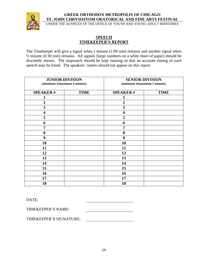

UNDER THE AUSPICES OF THE OFFICE OF YOUTH AND YOUNG ADULT MINISTRIES

# **SPEECH TIMEKEEPER'S REPORT**

The Timekeeper will give a signal when 1 minute (1:00 min) remains and another signal when ½ minute (0:30 min) remains. All signals (large numbers on a white sheet of paper) should be discreetly shown. The stopwatch should be kept running so that an accurate timing of each speech may be listed. The speakers' names should not appear on this report.

| <b>JUNIOR DIVISION</b><br>(minimum 3/maximum 4 minutes) |             | <b>SENIOR DIVISION</b><br>(minimum 4/maximum 5 minutes) |             |  |
|---------------------------------------------------------|-------------|---------------------------------------------------------|-------------|--|
| <b>SPEAKER#</b>                                         | <b>TIME</b> | <b>SPEAKER#</b>                                         | <b>TIME</b> |  |
|                                                         |             | 1                                                       |             |  |
| $\boldsymbol{2}$                                        |             | $\boldsymbol{2}$                                        |             |  |
| 3                                                       |             | 3                                                       |             |  |
| $\overline{\mathbf{4}}$                                 |             | $\overline{\mathbf{4}}$                                 |             |  |
| 5                                                       |             | 5                                                       |             |  |
| 6                                                       |             | 6                                                       |             |  |
| 7                                                       |             | $\overline{7}$                                          |             |  |
| 8                                                       |             | 8                                                       |             |  |
| 9                                                       |             | 9                                                       |             |  |
| 10                                                      |             | 10                                                      |             |  |
| 11                                                      |             | 11                                                      |             |  |
| 12                                                      |             | 12                                                      |             |  |
| 13                                                      |             | 13                                                      |             |  |
| 14                                                      |             | 14                                                      |             |  |
| 15                                                      |             | 15                                                      |             |  |
| 16                                                      |             | 16                                                      |             |  |
| 17                                                      |             | 17                                                      |             |  |
| 18                                                      |             | 18                                                      |             |  |

DATE:

TIMEKEEPER'S NAME:

TIMEKEEPER'S SIGNATURE: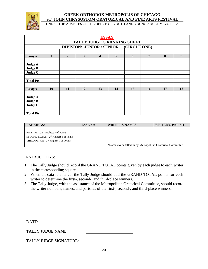

UNDER THE AUSPICES OF THE OFFICE OF YOUTH AND YOUNG ADULT MINISTRIES

|                  | <b>ESSAY</b><br>TALLY JUDGE'S RANKING SHEET |                |    |    |    |                                        |    |    |                  |
|------------------|---------------------------------------------|----------------|----|----|----|----------------------------------------|----|----|------------------|
|                  |                                             |                |    |    |    | DIVISION: JUNIOR / SENIOR (CIRCLE ONE) |    |    |                  |
|                  |                                             |                |    |    |    |                                        |    |    |                  |
| Essay #          | 1                                           | $\overline{2}$ | 3  | 4  | 5  | 6                                      | 7  | 8  | $\boldsymbol{9}$ |
|                  |                                             |                |    |    |    |                                        |    |    |                  |
| Judge A          |                                             |                |    |    |    |                                        |    |    |                  |
| <b>Judge B</b>   |                                             |                |    |    |    |                                        |    |    |                  |
| Judge C          |                                             |                |    |    |    |                                        |    |    |                  |
|                  |                                             |                |    |    |    |                                        |    |    |                  |
| <b>Total Pts</b> |                                             |                |    |    |    |                                        |    |    |                  |
|                  |                                             |                |    |    |    |                                        |    |    |                  |
| Essay #          | 10                                          | 11             | 12 | 13 | 14 | 15                                     | 16 | 17 | 18               |
|                  |                                             |                |    |    |    |                                        |    |    |                  |
| Judge A          |                                             |                |    |    |    |                                        |    |    |                  |
| <b>Judge B</b>   |                                             |                |    |    |    |                                        |    |    |                  |
| Judge C          |                                             |                |    |    |    |                                        |    |    |                  |
|                  |                                             |                |    |    |    |                                        |    |    |                  |
| <b>Total Pts</b> |                                             |                |    |    |    |                                        |    |    |                  |

| RANKINGS:                                | ESSAY# | WRITER'S NAME*                                              | WRITER'S PARISH |  |  |
|------------------------------------------|--------|-------------------------------------------------------------|-----------------|--|--|
|                                          |        |                                                             |                 |  |  |
| FIRST PLACE - Highest # of Points        |        |                                                             |                 |  |  |
| SECOND PLACE - $2nd$ Highest # of Points |        |                                                             |                 |  |  |
| THIRD PLACE - $3rd$ Highest # of Points  |        |                                                             |                 |  |  |
|                                          |        | *Names to be filled in by Metropolitan Oratorical Committee |                 |  |  |

#### INSTRUCTIONS:

- 1. The Tally Judge should record the GRAND TOTAL points given by each judge to each writer in the corresponding square.
- 2. When all data is entered, the Tally Judge should add the GRAND TOTAL points for each writer to determine the first-, second-, and third-place winners.
- 3. The Tally Judge, with the assistance of the Metropolitan Oratorical Committee, should record the writer numbers, names, and parishes of the first-, second-, and third-place winners.

| DATE:                         |  |
|-------------------------------|--|
| TALLY JUDGE NAME:             |  |
| <b>TALLY JUDGE SIGNATURE:</b> |  |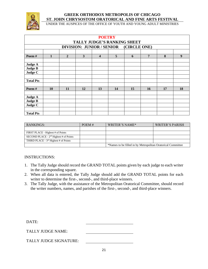

UNDER THE AUSPICES OF THE OFFICE OF YOUTH AND YOUNG ADULT MINISTRIES

| <b>POETRY</b><br>TALLY JUDGE'S RANKING SHEET |                                        |                |    |                         |                |    |                 |    |                  |
|----------------------------------------------|----------------------------------------|----------------|----|-------------------------|----------------|----|-----------------|----|------------------|
|                                              | DIVISION: JUNIOR / SENIOR (CIRCLE ONE) |                |    |                         |                |    |                 |    |                  |
|                                              |                                        |                |    |                         |                |    |                 |    |                  |
| Poem#                                        | $\mathbf{1}$                           | $\overline{2}$ | 3  | $\overline{\mathbf{4}}$ | 5 <sup>5</sup> | 6  | $7\phantom{.0}$ | 8  | $\boldsymbol{9}$ |
|                                              |                                        |                |    |                         |                |    |                 |    |                  |
| Judge A                                      |                                        |                |    |                         |                |    |                 |    |                  |
| <b>Judge B</b>                               |                                        |                |    |                         |                |    |                 |    |                  |
| Judge C                                      |                                        |                |    |                         |                |    |                 |    |                  |
|                                              |                                        |                |    |                         |                |    |                 |    |                  |
| <b>Total Pts</b>                             |                                        |                |    |                         |                |    |                 |    |                  |
|                                              |                                        |                |    |                         |                |    |                 |    |                  |
| Poem#                                        | 10                                     | 11             | 12 | 13                      | 14             | 15 | 16              | 17 | 18               |
|                                              |                                        |                |    |                         |                |    |                 |    |                  |
| Judge A                                      |                                        |                |    |                         |                |    |                 |    |                  |
| <b>Judge B</b>                               |                                        |                |    |                         |                |    |                 |    |                  |
| Judge C                                      |                                        |                |    |                         |                |    |                 |    |                  |
|                                              |                                        |                |    |                         |                |    |                 |    |                  |
| <b>Total Pts</b>                             |                                        |                |    |                         |                |    |                 |    |                  |

| RANKINGS:                                | POEM# | WRITER'S NAME*                                              | WRITER'S PARISH |  |
|------------------------------------------|-------|-------------------------------------------------------------|-----------------|--|
|                                          |       |                                                             |                 |  |
| FIRST PLACE - Highest # of Points        |       |                                                             |                 |  |
| SECOND PLACE - $2nd$ Highest # of Points |       |                                                             |                 |  |
| THIRD PLACE - $3rd$ Highest # of Points  |       |                                                             |                 |  |
|                                          |       | *Names to be filled in by Metropolitan Oratorical Committee |                 |  |

#### INSTRUCTIONS:

- 1. The Tally Judge should record the GRAND TOTAL points given by each judge to each writer in the corresponding square.
- 2. When all data is entered, the Tally Judge should add the GRAND TOTAL points for each writer to determine the first-, second-, and third-place winners.
- 3. The Tally Judge, with the assistance of the Metropolitan Oratorical Committee, should record the writer numbers, names, and parishes of the first-, second-, and third-place winners.

| DATE:                         |  |
|-------------------------------|--|
| TALLY JUDGE NAME:             |  |
| <b>TALLY JUDGE SIGNATURE:</b> |  |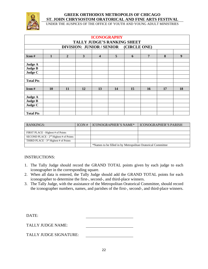

UNDER THE AUSPICES OF THE OFFICE OF YOUTH AND YOUNG ADULT MINISTRIES

| <b>ICONOGRAPHY</b><br>TALLY JUDGE'S RANKING SHEET |                                        |                |    |                         |                |    |                |    |                  |
|---------------------------------------------------|----------------------------------------|----------------|----|-------------------------|----------------|----|----------------|----|------------------|
|                                                   | DIVISION: JUNIOR / SENIOR (CIRCLE ONE) |                |    |                         |                |    |                |    |                  |
|                                                   |                                        |                |    |                         |                |    |                |    |                  |
| Icon#                                             | 1                                      | $\overline{2}$ | 3  | $\overline{\mathbf{4}}$ | 5 <sup>5</sup> | 6  | $\overline{7}$ | 8  | $\boldsymbol{9}$ |
|                                                   |                                        |                |    |                         |                |    |                |    |                  |
| Judge A                                           |                                        |                |    |                         |                |    |                |    |                  |
| <b>Judge B</b>                                    |                                        |                |    |                         |                |    |                |    |                  |
| Judge C                                           |                                        |                |    |                         |                |    |                |    |                  |
|                                                   |                                        |                |    |                         |                |    |                |    |                  |
| <b>Total Pts</b>                                  |                                        |                |    |                         |                |    |                |    |                  |
|                                                   |                                        |                |    |                         |                |    |                |    |                  |
| $I$ con #                                         | 10                                     | 11             | 12 | 13                      | 14             | 15 | <b>16</b>      | 17 | 18               |
|                                                   |                                        |                |    |                         |                |    |                |    |                  |
| Judge A                                           |                                        |                |    |                         |                |    |                |    |                  |
| <b>Judge B</b>                                    |                                        |                |    |                         |                |    |                |    |                  |
| Judge C                                           |                                        |                |    |                         |                |    |                |    |                  |
|                                                   |                                        |                |    |                         |                |    |                |    |                  |
| <b>Total Pts</b>                                  |                                        |                |    |                         |                |    |                |    |                  |

| RANKINGS:                                | ICON# | ICONOGRAPHER'S NAME*                                        | <b>ICONOGRAPHER'S PARISH</b> |  |  |
|------------------------------------------|-------|-------------------------------------------------------------|------------------------------|--|--|
|                                          |       |                                                             |                              |  |  |
| FIRST PLACE - Highest # of Points        |       |                                                             |                              |  |  |
| SECOND PLACE - $2nd$ Highest # of Points |       |                                                             |                              |  |  |
| THIRD PLACE - $3rd$ Highest # of Points  |       |                                                             |                              |  |  |
|                                          |       | *Names to be filled in by Metropolitan Oratorical Committee |                              |  |  |

#### INSTRUCTIONS:

- 1. The Tally Judge should record the GRAND TOTAL points given by each judge to each iconographer in the corresponding square.
- 2. When all data is entered, the Tally Judge should add the GRAND TOTAL points for each iconographer to determine the first-, second-, and third-place winners.
- 3. The Tally Judge, with the assistance of the Metropolitan Oratorical Committee, should record the iconographer numbers, names, and parishes of the first-, second-, and third-place winners.

| DATE:                    |  |
|--------------------------|--|
| <b>TALLY JUDGE NAME:</b> |  |
| TALLY JUDGE SIGNATURE:   |  |